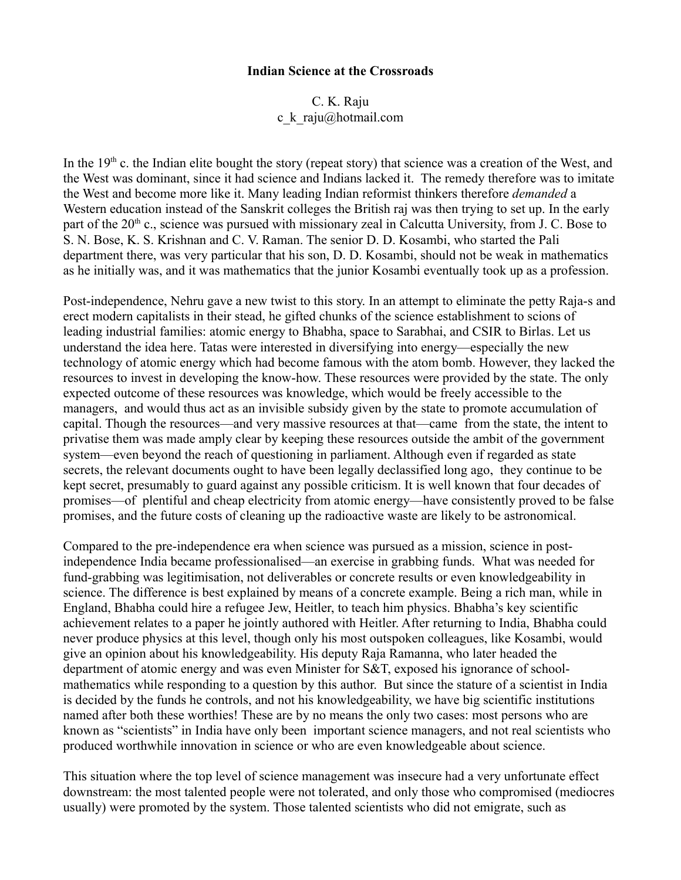## **Indian Science at the Crossroads**

C. K. Raju c\_k\_raju@hotmail.com

In the  $19<sup>th</sup>$  c. the Indian elite bought the story (repeat story) that science was a creation of the West, and the West was dominant, since it had science and Indians lacked it. The remedy therefore was to imitate the West and become more like it. Many leading Indian reformist thinkers therefore *demanded* a Western education instead of the Sanskrit colleges the British raj was then trying to set up. In the early part of the  $20<sup>th</sup>$  c., science was pursued with missionary zeal in Calcutta University, from J. C. Bose to S. N. Bose, K. S. Krishnan and C. V. Raman. The senior D. D. Kosambi, who started the Pali department there, was very particular that his son, D. D. Kosambi, should not be weak in mathematics as he initially was, and it was mathematics that the junior Kosambi eventually took up as a profession.

Post-independence, Nehru gave a new twist to this story. In an attempt to eliminate the petty Raja-s and erect modern capitalists in their stead, he gifted chunks of the science establishment to scions of leading industrial families: atomic energy to Bhabha, space to Sarabhai, and CSIR to Birlas. Let us understand the idea here. Tatas were interested in diversifying into energy—especially the new technology of atomic energy which had become famous with the atom bomb. However, they lacked the resources to invest in developing the know-how. These resources were provided by the state. The only expected outcome of these resources was knowledge, which would be freely accessible to the managers, and would thus act as an invisible subsidy given by the state to promote accumulation of capital. Though the resources—and very massive resources at that—came from the state, the intent to privatise them was made amply clear by keeping these resources outside the ambit of the government system—even beyond the reach of questioning in parliament. Although even if regarded as state secrets, the relevant documents ought to have been legally declassified long ago, they continue to be kept secret, presumably to guard against any possible criticism. It is well known that four decades of promises—of plentiful and cheap electricity from atomic energy—have consistently proved to be false promises, and the future costs of cleaning up the radioactive waste are likely to be astronomical.

Compared to the pre-independence era when science was pursued as a mission, science in postindependence India became professionalised—an exercise in grabbing funds. What was needed for fund-grabbing was legitimisation, not deliverables or concrete results or even knowledgeability in science. The difference is best explained by means of a concrete example. Being a rich man, while in England, Bhabha could hire a refugee Jew, Heitler, to teach him physics. Bhabha's key scientific achievement relates to a paper he jointly authored with Heitler. After returning to India, Bhabha could never produce physics at this level, though only his most outspoken colleagues, like Kosambi, would give an opinion about his knowledgeability. His deputy Raja Ramanna, who later headed the department of atomic energy and was even Minister for S&T, exposed his ignorance of schoolmathematics while responding to a question by this author. But since the stature of a scientist in India is decided by the funds he controls, and not his knowledgeability, we have big scientific institutions named after both these worthies! These are by no means the only two cases: most persons who are known as "scientists" in India have only been important science managers, and not real scientists who produced worthwhile innovation in science or who are even knowledgeable about science.

This situation where the top level of science management was insecure had a very unfortunate effect downstream: the most talented people were not tolerated, and only those who compromised (mediocres usually) were promoted by the system. Those talented scientists who did not emigrate, such as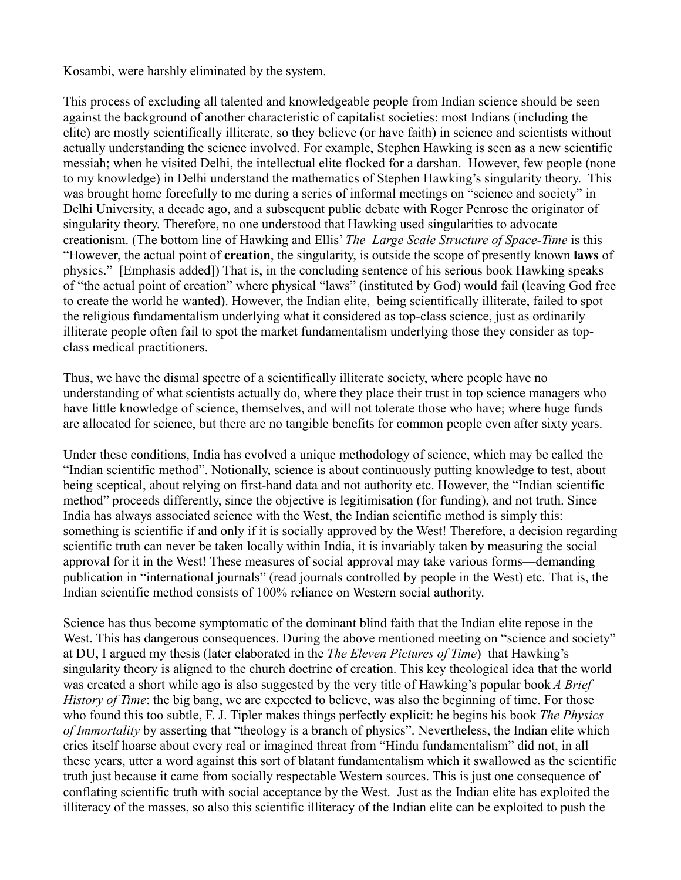Kosambi, were harshly eliminated by the system.

This process of excluding all talented and knowledgeable people from Indian science should be seen against the background of another characteristic of capitalist societies: most Indians (including the elite) are mostly scientifically illiterate, so they believe (or have faith) in science and scientists without actually understanding the science involved. For example, Stephen Hawking is seen as a new scientific messiah; when he visited Delhi, the intellectual elite flocked for a darshan. However, few people (none to my knowledge) in Delhi understand the mathematics of Stephen Hawking's singularity theory. This was brought home forcefully to me during a series of informal meetings on "science and society" in Delhi University, a decade ago, and a subsequent public debate with Roger Penrose the originator of singularity theory. Therefore, no one understood that Hawking used singularities to advocate creationism. (The bottom line of Hawking and Ellis' *The Large Scale Structure of Space-Time* is this "However, the actual point of **creation**, the singularity, is outside the scope of presently known **laws** of physics." [Emphasis added]) That is, in the concluding sentence of his serious book Hawking speaks of "the actual point of creation" where physical "laws" (instituted by God) would fail (leaving God free to create the world he wanted). However, the Indian elite, being scientifically illiterate, failed to spot the religious fundamentalism underlying what it considered as top-class science, just as ordinarily illiterate people often fail to spot the market fundamentalism underlying those they consider as topclass medical practitioners.

Thus, we have the dismal spectre of a scientifically illiterate society, where people have no understanding of what scientists actually do, where they place their trust in top science managers who have little knowledge of science, themselves, and will not tolerate those who have; where huge funds are allocated for science, but there are no tangible benefits for common people even after sixty years.

Under these conditions, India has evolved a unique methodology of science, which may be called the "Indian scientific method". Notionally, science is about continuously putting knowledge to test, about being sceptical, about relying on first-hand data and not authority etc. However, the "Indian scientific method" proceeds differently, since the objective is legitimisation (for funding), and not truth. Since India has always associated science with the West, the Indian scientific method is simply this: something is scientific if and only if it is socially approved by the West! Therefore, a decision regarding scientific truth can never be taken locally within India, it is invariably taken by measuring the social approval for it in the West! These measures of social approval may take various forms—demanding publication in "international journals" (read journals controlled by people in the West) etc. That is, the Indian scientific method consists of 100% reliance on Western social authority.

Science has thus become symptomatic of the dominant blind faith that the Indian elite repose in the West. This has dangerous consequences. During the above mentioned meeting on "science and society" at DU, I argued my thesis (later elaborated in the *The Eleven Pictures of Time*) that Hawking's singularity theory is aligned to the church doctrine of creation. This key theological idea that the world was created a short while ago is also suggested by the very title of Hawking's popular book *A Brief History of Time*: the big bang, we are expected to believe, was also the beginning of time. For those who found this too subtle, F. J. Tipler makes things perfectly explicit: he begins his book *The Physics of Immortality* by asserting that "theology is a branch of physics". Nevertheless, the Indian elite which cries itself hoarse about every real or imagined threat from "Hindu fundamentalism" did not, in all these years, utter a word against this sort of blatant fundamentalism which it swallowed as the scientific truth just because it came from socially respectable Western sources. This is just one consequence of conflating scientific truth with social acceptance by the West. Just as the Indian elite has exploited the illiteracy of the masses, so also this scientific illiteracy of the Indian elite can be exploited to push the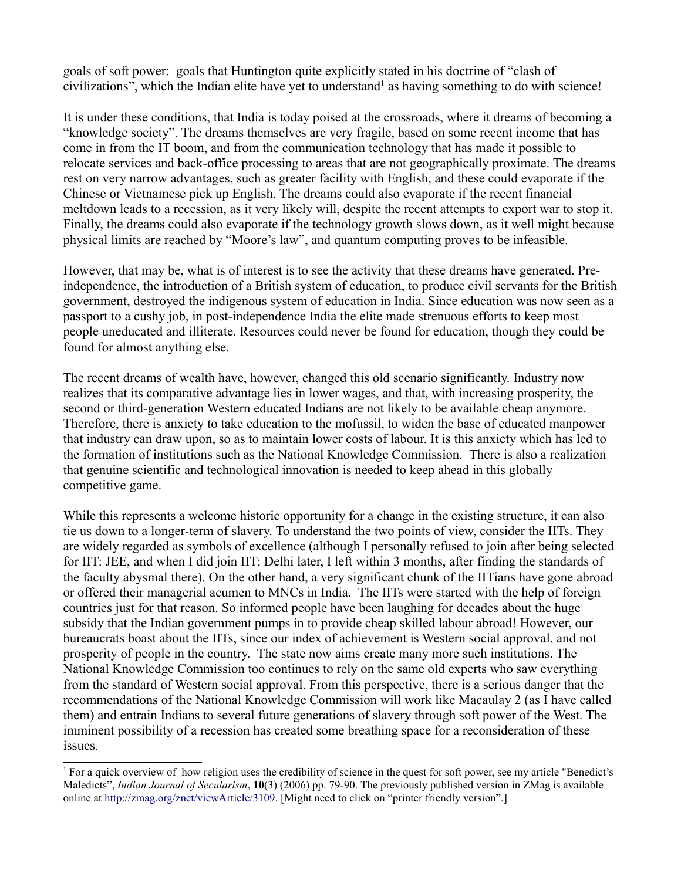goals of soft power: goals that Huntington quite explicitly stated in his doctrine of "clash of civilizations", which the Indian elite have yet to understand<sup>[1](#page-2-0)</sup> as having something to do with science!

It is under these conditions, that India is today poised at the crossroads, where it dreams of becoming a "knowledge society". The dreams themselves are very fragile, based on some recent income that has come in from the IT boom, and from the communication technology that has made it possible to relocate services and back-office processing to areas that are not geographically proximate. The dreams rest on very narrow advantages, such as greater facility with English, and these could evaporate if the Chinese or Vietnamese pick up English. The dreams could also evaporate if the recent financial meltdown leads to a recession, as it very likely will, despite the recent attempts to export war to stop it. Finally, the dreams could also evaporate if the technology growth slows down, as it well might because physical limits are reached by "Moore's law", and quantum computing proves to be infeasible.

However, that may be, what is of interest is to see the activity that these dreams have generated. Preindependence, the introduction of a British system of education, to produce civil servants for the British government, destroyed the indigenous system of education in India. Since education was now seen as a passport to a cushy job, in post-independence India the elite made strenuous efforts to keep most people uneducated and illiterate. Resources could never be found for education, though they could be found for almost anything else.

The recent dreams of wealth have, however, changed this old scenario significantly. Industry now realizes that its comparative advantage lies in lower wages, and that, with increasing prosperity, the second or third-generation Western educated Indians are not likely to be available cheap anymore. Therefore, there is anxiety to take education to the mofussil, to widen the base of educated manpower that industry can draw upon, so as to maintain lower costs of labour. It is this anxiety which has led to the formation of institutions such as the National Knowledge Commission. There is also a realization that genuine scientific and technological innovation is needed to keep ahead in this globally competitive game.

While this represents a welcome historic opportunity for a change in the existing structure, it can also tie us down to a longer-term of slavery. To understand the two points of view, consider the IITs. They are widely regarded as symbols of excellence (although I personally refused to join after being selected for IIT: JEE, and when I did join IIT: Delhi later, I left within 3 months, after finding the standards of the faculty abysmal there). On the other hand, a very significant chunk of the IITians have gone abroad or offered their managerial acumen to MNCs in India. The IITs were started with the help of foreign countries just for that reason. So informed people have been laughing for decades about the huge subsidy that the Indian government pumps in to provide cheap skilled labour abroad! However, our bureaucrats boast about the IITs, since our index of achievement is Western social approval, and not prosperity of people in the country. The state now aims create many more such institutions. The National Knowledge Commission too continues to rely on the same old experts who saw everything from the standard of Western social approval. From this perspective, there is a serious danger that the recommendations of the National Knowledge Commission will work like Macaulay 2 (as I have called them) and entrain Indians to several future generations of slavery through soft power of the West. The imminent possibility of a recession has created some breathing space for a reconsideration of these issues.

<span id="page-2-0"></span><sup>&</sup>lt;sup>1</sup> For a quick overview of how religion uses the credibility of science in the quest for soft power, see my article "Benedict's Maledicts", *Indian Journal of Secularism*, **10**(3) (2006) pp. 79-90. The previously published version in ZMag is available online at [http://zmag.org/znet/viewArticle/3109.](http://zmag.org/znet/viewArticle/3109) [Might need to click on "printer friendly version".]